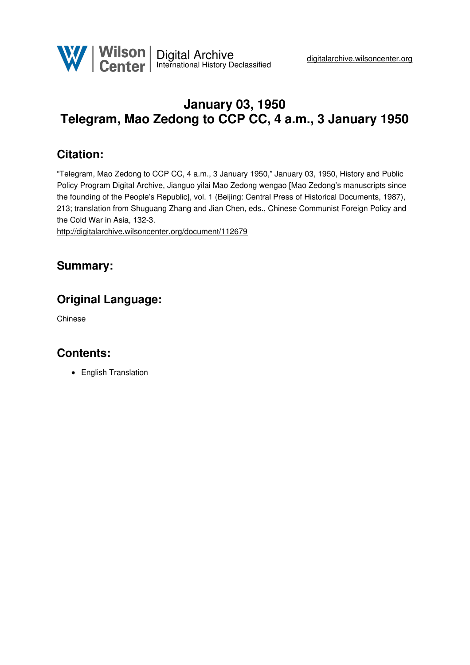

# **January 03, 1950 Telegram, Mao Zedong to CCP CC, 4 a.m., 3 January 1950**

## **Citation:**

"Telegram, Mao Zedong to CCP CC, 4 a.m., 3 January 1950," January 03, 1950, History and Public Policy Program Digital Archive, Jianguo yilai Mao Zedong wengao [Mao Zedong's manuscripts since the founding of the People's Republic], vol. 1 (Beijing: Central Press of Historical Documents, 1987), 213; translation from Shuguang Zhang and Jian Chen, eds., Chinese Communist Foreign Policy and the Cold War in Asia, 132-3.

<http://digitalarchive.wilsoncenter.org/document/112679>

#### **Summary:**

### **Original Language:**

Chinese

#### **Contents:**

• English Translation